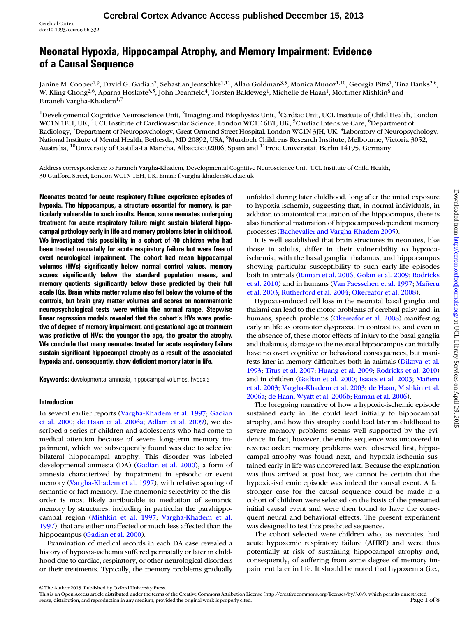# Neonatal Hypoxia, Hippocampal Atrophy, and Memory Impairment: Evidence of a Causal Sequence

Janine M. Cooper<sup>1,9</sup>, David G. Gadian<sup>2</sup>, Sebastian Jentschke<sup>1,11</sup>, Allan Goldman<sup>3,5</sup>, Monica Munoz<sup>1,10</sup>, Georgia Pitts<sup>1</sup>, Tina Banks<sup>2,6</sup>, W. Kling Chong<sup>2,6</sup>, Aparna Hoskote<sup>3,5</sup>, John Deanfield<sup>4</sup>, Torsten Baldeweg<sup>1</sup>, Michelle de Haan<sup>1</sup>, Mortimer Mishkin<sup>8</sup> and Faraneh Vargha-Khadem1,7

<sup>1</sup>Developmental Cognitive Neuroscience Unit, <sup>2</sup>Imaging and Biophysics Unit, <sup>3</sup>Cardiac Unit, UCL Institute of Child Health, London WC1N 1EH, UK, <sup>4</sup>UCL Institute of Cardiovascular Science, London WC1E 6BT, UK, <sup>5</sup>Cardiac Intensive Care, <sup>6</sup>Department of Radiology, <sup>7</sup>Department of Neuropsychology, Great Ormond Street Hospital, London WC1N 3JH, UK, <sup>8</sup>Laboratory of Neuropsychology, National Institute of Mental Health, Bethesda, MD 20892, USA, <sup>9</sup> Murdoch Childrens Research Institute, Melbourne, Victoria 3052, Australia, <sup>10</sup>University of Castilla-La Mancha, Albacete 02006, Spain and <sup>11</sup>Freie Universität, Berlin 14195, Germany

Address correspondence to Faraneh Vargha-Khadem, Developmental Cognitive Neuroscience Unit, UCL Institute of Child Health, 30 Guilford Street, London WC1N 1EH, UK. Email: f.vargha-khadem@ucl.ac.uk

Neonates treated for acute respiratory failure experience episodes of hypoxia. The hippocampus, a structure essential for memory, is particularly vulnerable to such insults. Hence, some neonates undergoing treatment for acute respiratory failure might sustain bilateral hippocampal pathology early in life and memory problems later in childhood. We investigated this possibility in a cohort of 40 children who had been treated neonatally for acute respiratory failure but were free of overt neurological impairment. The cohort had mean hippocampal volumes (HVs) significantly below normal control values, memory scores significantly below the standard population means, and memory quotients significantly below those predicted by their full scale IQs. Brain white matter volume also fell below the volume of the controls, but brain gray matter volumes and scores on nonmnemonic neuropsychological tests were within the normal range. Stepwise linear regression models revealed that the cohort's HVs were predictive of degree of memory impairment, and gestational age at treatment was predictive of HVs: the younger the age, the greater the atrophy. We conclude that many neonates treated for acute respiratory failure sustain significant hippocampal atrophy as a result of the associated hypoxia and, consequently, show deficient memory later in life.

Keywords: developmental amnesia, hippocampal volumes, hypoxia

#### Introduction

In several earlier reports [\(Vargha-Khadem et al. 1997](#page-7-0); [Gadian](#page-7-0) [et al. 2000](#page-7-0); [de Haan et al. 2006a;](#page-6-0) [Adlam et al. 2009\)](#page-6-0), we described a series of children and adolescents who had come to medical attention because of severe long-term memory impairment, which we subsequently found was due to selective bilateral hippocampal atrophy. This disorder was labeled developmental amnesia (DA) [\(Gadian et al. 2000\)](#page-7-0), a form of amnesia characterized by impairment in episodic or event memory ([Vargha-Khadem et al. 1997\)](#page-7-0), with relative sparing of semantic or fact memory. The mnemonic selectivity of the disorder is most likely attributable to mediation of semantic memory by structures, including in particular the parahippocampal region [\(Mishkin et al. 1997](#page-7-0); [Vargha-Khadem et al.](#page-7-0) [1997](#page-7-0)), that are either unaffected or much less affected than the hippocampus [\(Gadian et al. 2000](#page-7-0)).

Examination of medical records in each DA case revealed a history of hypoxia-ischemia suffered perinatally or later in childhood due to cardiac, respiratory, or other neurological disorders or their treatments. Typically, the memory problems gradually

unfolded during later childhood, long after the initial exposure to hypoxia-ischemia, suggesting that, in normal individuals, in addition to anatomical maturation of the hippocampus, there is also functional maturation of hippocampus-dependent memory processes [\(Bachevalier and Vargha-Khadem 2005](#page-6-0)).

It is well established that brain structures in neonates, like those in adults, differ in their vulnerability to hypoxiaischemia, with the basal ganglia, thalamus, and hippocampus showing particular susceptibility to such early-life episodes both in animals ([Raman et al. 2006](#page-7-0); [Golan et al. 2009;](#page-7-0) [Rodricks](#page-7-0) [et al. 2010](#page-7-0)) and in humans ([Van Paesschen et al. 1997](#page-7-0); [Mañeru](#page-7-0) [et al. 2003;](#page-7-0) [Rutherford et al. 2004](#page-7-0); [Okereafor et al. 2008\)](#page-7-0).

Hypoxia-induced cell loss in the neonatal basal ganglia and thalami can lead to the motor problems of cerebral palsy and, in humans, speech problems ([Okereafor et al. 2008](#page-7-0)) manifesting early in life as oromotor dyspraxia. In contrast to, and even in the absence of, these motor effects of injury to the basal ganglia and thalamus, damage to the neonatal hippocampus can initially have no overt cognitive or behavioral consequences, but manifests later in memory difficulties both in animals [\(Dikova et al.](#page-6-0) [1993;](#page-6-0) [Titus et al. 2007;](#page-7-0) [Huang et al. 2009;](#page-7-0) [Rodricks et al. 2010\)](#page-7-0) and in children [\(Gadian et al. 2000;](#page-7-0) [Isaacs et al. 2003](#page-7-0); [Mañeru](#page-7-0) [et al. 2003](#page-7-0); [Vargha-Khadem et al. 2003](#page-7-0); [de Haan, Mishkin et al.](#page-6-0) [2006a](#page-6-0); [de Haan, Wyatt et al. 2006b](#page-6-0); [Raman et al. 2006](#page-7-0)).

The foregoing narrative of how a hypoxic-ischemic episode sustained early in life could lead initially to hippocampal atrophy, and how this atrophy could lead later in childhood to severe memory problems seems well supported by the evidence. In fact, however, the entire sequence was uncovered in reverse order: memory problems were observed first, hippocampal atrophy was found next, and hypoxia-ischemia sustained early in life was uncovered last. Because the explanation was thus arrived at post hoc, we cannot be certain that the hypoxic-ischemic episode was indeed the causal event. A far stronger case for the causal sequence could be made if a cohort of children were selected on the basis of the presumed initial causal event and were then found to have the consequent neural and behavioral effects. The present experiment was designed to test this predicted sequence.

The cohort selected were children who, as neonates, had acute hypoxemic respiratory failure (AHRF) and were thus potentially at risk of sustaining hippocampal atrophy and, consequently, of suffering from some degree of memory impairment later in life. It should be noted that hypoxemia (i.e.,

This is an Open Access article distributed under the terms of the Creative Commons Attribution License (http://creativecommons.org/licenses/by/3.0/), which permits unrestricted reuse, distribution, and reproduction in any reuse, distribution, and reproduction in any medium, provided the original work is properly cited.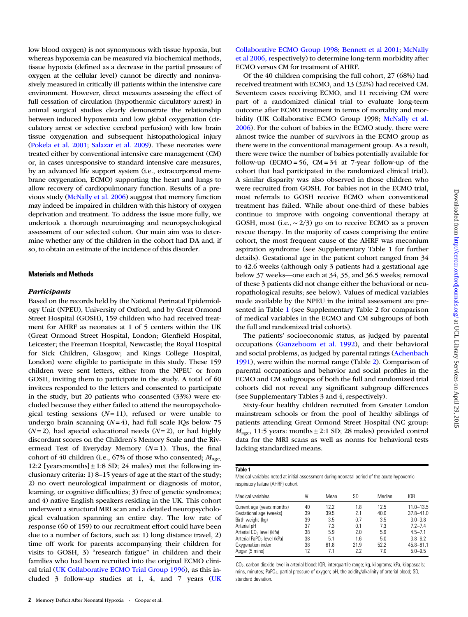<span id="page-1-0"></span>low blood oxygen) is not synonymous with tissue hypoxia, but whereas hypoxemia can be measured via biochemical methods, tissue hypoxia (defined as a decrease in the partial pressure of oxygen at the cellular level) cannot be directly and noninvasively measured in critically ill patients within the intensive care environment. However, direct measures assessing the effect of full cessation of circulation (hypothermic circulatory arrest) in animal surgical studies clearly demonstrate the relationship between induced hypoxemia and low global oxygenation (circulatory arrest or selective cerebral perfusion) with low brain tissue oxygenation and subsequent histopathological injury [\(Pokela et al. 2001](#page-7-0); [Salazar et al. 2009\)](#page-7-0). These neonates were treated either by conventional intensive care management (CM) or, in cases unresponsive to standard intensive care measures, by an advanced life support system (i.e., extracorporeal membrane oxygenation, ECMO) supporting the heart and lungs to allow recovery of cardiopulmonary function. Results of a previous study ([McNally et al. 2006](#page-7-0)) suggest that memory function may indeed be impaired in children with this history of oxygen deprivation and treatment. To address the issue more fully, we undertook a thorough neuroimaging and neuropsychological assessment of our selected cohort. Our main aim was to determine whether any of the children in the cohort had DA and, if so, to obtain an estimate of the incidence of this disorder.

## Materials and Methods

#### **Participants**

Based on the records held by the National Perinatal Epidemiology Unit (NPEU), University of Oxford, and by Great Ormond Street Hospital (GOSH), 159 children who had received treatment for AHRF as neonates at 1 of 5 centers within the UK (Great Ormond Street Hospital, London; Glenfield Hospital, Leicester; the Freeman Hospital, Newcastle; the Royal Hospital for Sick Children, Glasgow; and Kings College Hospital, London) were eligible to participate in this study. These 159 children were sent letters, either from the NPEU or from GOSH, inviting them to participate in the study. A total of 60 invitees responded to the letters and consented to participate in the study, but 20 patients who consented (33%) were excluded because they either failed to attend the neuropsychological testing sessions  $(N=11)$ , refused or were unable to undergo brain scanning  $(N=4)$ , had full scale IQs below 75  $(N=2)$ , had special educational needs  $(N=2)$ , or had highly discordant scores on the Children's Memory Scale and the Rivermead Test of Everyday Memory  $(N=1)$ . Thus, the final cohort of 40 children (i.e., 67% of those who consented;  $M_{\text{age}}$ , 12:2 [years: months]  $\pm$  1:8 SD; 24 males) met the following inclusionary criteria: 1) 8–15 years of age at the start of the study; 2) no overt neurological impairment or diagnosis of motor, learning, or cognitive difficulties; 3) free of genetic syndromes; and 4) native English speakers residing in the UK. This cohort underwent a structural MRI scan and a detailed neuropsychological evaluation spanning an entire day. The low rate of response (60 of 159) to our recruitment effort could have been due to a number of factors, such as: 1) long distance travel, 2) time off work for parents accompanying their children for visits to GOSH, 3) "research fatigue" in children and their families who had been recruited into the original ECMO clinical trial ([UK Collaborative ECMO Trial Group 1996\)](#page-7-0), as this included 3 follow-up studies at 1, 4, and 7 years [\(UK](#page-7-0) [Collaborative ECMO Group 1998;](#page-7-0) [Bennett et al 2001;](#page-6-0) [McNally](#page-7-0) [et al 2006, r](#page-7-0)espectively) to determine long-term morbidity after ECMO versus CM for treatment of AHRF.

Of the 40 children comprising the full cohort, 27 (68%) had received treatment with ECMO, and 13 (32%) had received CM. Seventeen cases receiving ECMO, and 11 receiving CM were part of a randomized clinical trial to evaluate long-term outcome after ECMO treatment in terms of mortality and morbidity (UK Collaborative ECMO Group 1998; [McNally et al.](#page-7-0) [2006\)](#page-7-0). For the cohort of babies in the ECMO study, there were almost twice the number of survivors in the ECMO group as there were in the conventional management group. As a result, there were twice the number of babies potentially available for follow-up (ECMO = 56,  $CM = 34$  at 7-year follow-up of the cohort that had participated in the randomized clinical trial). A similar disparity was also observed in those children who were recruited from GOSH. For babies not in the ECMO trial, most referrals to GOSH receive ECMO when conventional treatment has failed. While about one-third of these babies continue to improve with ongoing conventional therapy at GOSH, most (i.e.,  $\sim$  2/3) go on to receive ECMO as a proven rescue therapy. In the majority of cases comprising the entire cohort, the most frequent cause of the AHRF was meconium aspiration syndrome (see [Supplementary Table 1](http://cercor.oxfordjournals.org/lookup/suppl/doi:10.1093/cercor/bht332/-/DC1) for further details). Gestational age in the patient cohort ranged from 34 to 42.6 weeks (although only 3 patients had a gestational age below 37 weeks—one each at 34, 35, and 36.5 weeks; removal of these 3 patients did not change either the behavioral or neuropathological results; see below). Values of medical variables made available by the NPEU in the initial assessment are presented in Table 1 (see [Supplementary Table 2](http://cercor.oxfordjournals.org/lookup/suppl/doi:10.1093/cercor/bht332/-/DC1) for comparison of medical variables in the ECMO and CM subgroups of both the full and randomized trial cohorts).

The patients' socioeconomic status, as judged by parental occupations ([Ganzeboom et al. 1992](#page-7-0)), and their behavioral and social problems, as judged by parental ratings [\(Achenbach](#page-7-0) [1991\)](#page-7-0), were within the normal range (Table [2\)](#page-2-0). Comparison of parental occupations and behavior and social profiles in the ECMO and CM subgroups of both the full and randomized trial cohorts did not reveal any significant subgroup differences (see [Supplementary Tables 3 and 4,](http://cercor.oxfordjournals.org/lookup/suppl/doi:10.1093/cercor/bht332/-/DC1) respectively).

Sixty-four healthy children recruited from Greater London mainstream schools or from the pool of healthy siblings of patients attending Great Ormond Street Hospital (NC group:  $M<sub>age</sub>$ , 11:5 years: months  $\pm$  2:1 SD; 28 males) provided control data for the MRI scans as well as norms for behavioral tests lacking standardized means.

#### Table 1

Medical variables noted at initial assessment during neonatal period of the acute hypoxemic respiratory failure (AHRF) cohort

| Medical variables                      | Ν  | Mean | SD   | Median | IO <sub>R</sub> |
|----------------------------------------|----|------|------|--------|-----------------|
| Current age (years:months)             | 40 | 12.2 | 1.8  | 12.5   | $11.0 - 13.5$   |
| Gestational age (weeks)                | 39 | 39.5 | 2.1  | 40.0   | $37.8 - 41.0$   |
| Birth weight (kg)                      | 39 | 3.5  | 0.7  | 3.5    | $3.0 - 3.8$     |
| Arterial pH                            | 37 | 7.3  | 0.1  | 7.3    | $7.2 - 7.4$     |
| Arterial CO <sub>2</sub> level (kPa)   | 38 | 5.9  | 2.0  | 5.9    | $4.5 - 7.1$     |
| Arterial PaPO <sub>2</sub> level (kPa) | 38 | 5.1  | 1.6  | 5.0    | $3.8 - 6.2$     |
| Oxygenation index                      | 38 | 61.8 | 21.9 | 52.2   | $45.8 - 81.1$   |
| Apgar (5 mins)                         | 12 | 7.1  | 2.2  | 7.0    | $5.0 - 9.5$     |

CO<sub>2</sub>, carbon dioxide level in arterial blood; IQR, interquartile range; kg, kilograms; kPa, kilopascals; mins, minutes; PaPO<sub>2</sub>, partial pressure of oxygen; pH, the acidity/alkalinity of arterial blood; SD, standard deviation.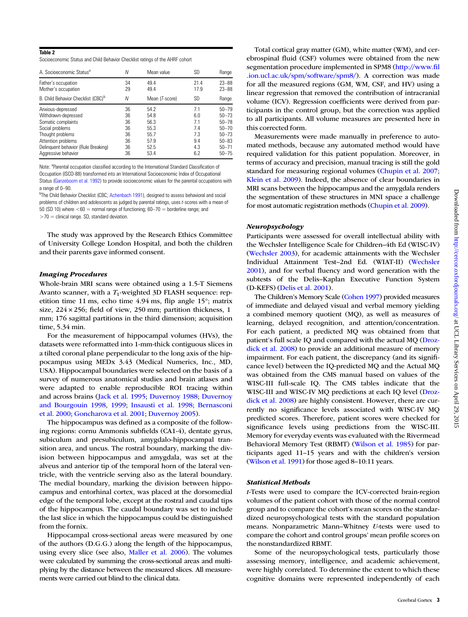#### <span id="page-2-0"></span>Table 2

Socioeconomic Status and Child Behavior Checklist ratings of the AHRF cohort

| A. Socioeconomic Status <sup>a</sup>           | N  | Mean value              | SD        | Range     |
|------------------------------------------------|----|-------------------------|-----------|-----------|
| Father's occupation                            | 34 | 49.4                    | 21.4      | $23 - 88$ |
| Mother's occupation                            | 29 | 49.4                    | 17.9      | $23 - 88$ |
| B. Child Behavior Checklist (CBC) <sup>b</sup> | N  | Mean ( <i>T</i> -score) | <b>SD</b> | Range     |
| Anxious-depressed                              | 36 | 54.2                    | 7.1       | $50 - 79$ |
| Withdrawn-depressed                            | 36 | 54.8                    | 6.0       | $50 - 73$ |
| Somatic complaints                             | 36 | 56.3                    | 7.1       | $50 - 78$ |
| Social problems                                | 36 | 55.3                    | 7.4       | $50 - 70$ |
| Thought problems                               | 36 | 55.7                    | 7.3       | $50 - 73$ |
| Attention problems                             | 36 | 57.9                    | 9.4       | $50 - 83$ |
| Delinquent behavior (Rule Breaking)            | 36 | 52.5                    | 4.3       | $50 - 71$ |
| Aggressive behavior                            | 36 | 53.4                    | 6.2       | $50 - 75$ |

Note: <sup>a</sup>Parental occupation classified according to the International Standard Classification of Occupation (ISCO-88) transformed into an International Socioeconomic Index of Occupational Status ([Ganzeboom et al. 1992\)](#page-7-0) to provide socioeconomic values for the parental occupations with a range of 0–90.

<sup>b</sup>The Child Behavior Checklist (CBC; [Achenbach 1991](#page-7-0)), designed to assess behavioral and social problems of children and adolescents as judged by parental ratings, uses t-scores with a mean of 50 (SD 10) where <60 = normal range of functioning; 60–70 = borderline range; and  $>$  70 = clinical range. SD, standard deviation.

The study was approved by the Research Ethics Committee of University College London Hospital, and both the children and their parents gave informed consent.

#### Imaging Procedures

Whole-brain MRI scans were obtained using a 1.5-T Siemens Avanto scanner, with a  $T_1$ -weighted 3D FLASH sequence: repetition time 11 ms, echo time 4.94 ms, flip angle 15°; matrix size, 224 × 256; field of view, 250 mm; partition thickness, 1 mm; 176 sagittal partitions in the third dimension; acquisition time, 5.34 min.

For the measurement of hippocampal volumes (HVs), the datasets were reformatted into 1-mm-thick contiguous slices in a tilted coronal plane perpendicular to the long axis of the hippocampus using MEDx 3.43 (Medical Numerics, Inc., MD, USA). Hippocampal boundaries were selected on the basis of a survey of numerous anatomical studies and brain atlases and were adapted to enable reproducible ROI tracing within and across brains [\(Jack et al. 1995;](#page-7-0) [Duvernoy 1988;](#page-7-0) [Duvernoy](#page-7-0) [and Bourgouin 1998](#page-7-0), [1999;](#page-7-0) [Insausti et al. 1998](#page-7-0); [Bernasconi](#page-6-0) [et al. 2000;](#page-6-0) [Goncharova et al. 2001;](#page-7-0) [Duvernoy 2005](#page-7-0)).

The hippocampus was defined as a composite of the following regions: cornu Ammonis subfields (CA1-4), dentate gyrus, subiculum and presubiculum, amygdalo-hippocampal transition area, and uncus. The rostral boundary, marking the division between hippocampus and amygdala, was set at the alveus and anterior tip of the temporal horn of the lateral ventricle, with the ventricle serving also as the lateral boundary. The medial boundary, marking the division between hippocampus and entorhinal cortex, was placed at the dorsomedial edge of the temporal lobe, except at the rostral and caudal tips of the hippocampus. The caudal boundary was set to include the last slice in which the hippocampus could be distinguished from the fornix.

Hippocampal cross-sectional areas were measured by one of the authors (D.G.G.) along the length of the hippocampus, using every slice (see also, [Maller et al. 2006](#page-7-0)). The volumes were calculated by summing the cross-sectional areas and multiplying by the distance between the measured slices. All measurements were carried out blind to the clinical data.

Total cortical gray matter (GM), white matter (WM), and cerebrospinal fluid (CSF) volumes were obtained from the new segmentation procedure implemented in SPM8 ([http://www.](http://www.fil.ion.ucl.ac.uk/spm/software/spm8/)fil [.ion.ucl.ac.uk/spm/software/spm8/](http://www.fil.ion.ucl.ac.uk/spm/software/spm8/)). A correction was made for all the measured regions (GM, WM, CSF, and HV) using a linear regression that removed the contribution of intracranial volume (ICV). Regression coefficients were derived from participants in the control group, but the correction was applied to all participants. All volume measures are presented here in this corrected form.

Measurements were made manually in preference to automated methods, because any automated method would have required validation for this patient population. Moreover, in terms of accuracy and precision, manual tracing is still the gold standard for measuring regional volumes [\(Chupin et al. 2007;](#page-6-0) [Klein et al. 2009](#page-7-0)). Indeed, the absence of clear boundaries in MRI scans between the hippocampus and the amygdala renders the segmentation of these structures in MNI space a challenge for most automatic registration methods [\(Chupin et al. 2009](#page-6-0)).

#### Neuropsychology

Participants were assessed for overall intellectual ability with the Wechsler Intelligence Scale for Children–4th Ed (WISC-IV) [\(Wechsler 2003](#page-7-0)), for academic attainments with the Wechsler Individual Attainment Test–2nd Ed. (WIAT-II) [\(Wechsler](#page-7-0) [2001](#page-7-0)), and for verbal fluency and word generation with the subtests of the Delis–Kaplan Executive Function System (D-KEFS) [\(Delis et al. 2001](#page-6-0)).

The Children's Memory Scale [\(Cohen 1997\)](#page-6-0) provided measures of immediate and delayed visual and verbal memory yielding a combined memory quotient (MQ), as well as measures of learning, delayed recognition, and attention/concentration. For each patient, a predicted MQ was obtained from that patient's full scale IQ and compared with the actual MQ [\(Droz](#page-6-0)[dick et al. 2008\)](#page-6-0) to provide an additional measure of memory impairment. For each patient, the discrepancy (and its significance level) between the IQ-predicted MQ and the Actual MQ was obtained from the CMS manual based on values of the WISC-III full-scale IQ. The CMS tables indicate that the WISC-III and WISC-IV MQ predictions at each IQ level [\(Droz](#page-6-0)[dick et al. 2008\)](#page-6-0) are highly consistent. However, there are currently no significance levels associated with WISC-IV MQ predicted scores. Therefore, patient scores were checked for significance levels using predictions from the WISC-III. Memory for everyday events was evaluated with the Rivermead Behavioral Memory Test (RBMT) [\(Wilson et al. 1985\)](#page-7-0) for participants aged 11–15 years and with the children's version [\(Wilson et al. 1991](#page-7-0)) for those aged 8–10:11 years.

#### Statistical Methods

t-Tests were used to compare the ICV-corrected brain-region volumes of the patient cohort with those of the normal control group and to compare the cohort's mean scores on the standardized neuropsychological tests with the standard population means. Nonparametric Mann–Whitney U-tests were used to compare the cohort and control groups' mean profile scores on the nonstandardized RBMT.

Some of the neuropsychological tests, particularly those assessing memory, intelligence, and academic achievement, were highly correlated. To determine the extent to which these cognitive domains were represented independently of each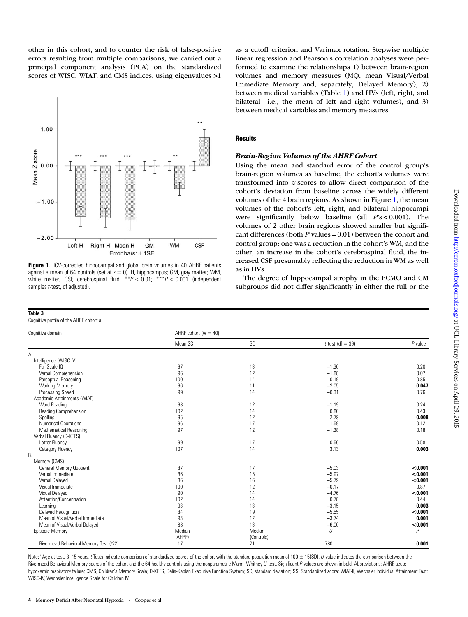<span id="page-3-0"></span>other in this cohort, and to counter the risk of false-positive errors resulting from multiple comparisons, we carried out a principal component analysis (PCA) on the standardized scores of WISC, WIAT, and CMS indices, using eigenvalues >1



Figure 1. ICV-corrected hippocampal and global brain volumes in 40 AHRF patients against a mean of 64 controls (set at  $z = 0$ ). H, hippocampus; GM, gray matter; WM, white matter; CSF, cerebrospinal fluid.  $*P < 0.01$ ;  $**P < 0.001$  (independent samples t-test, df adjusted).

#### Table 3

Cognitive profile of the AHRF cohort a

as a cutoff criterion and Varimax rotation. Stepwise multiple linear regression and Pearson's correlation analyses were performed to examine the relationships 1) between brain-region volumes and memory measures (MQ, mean Visual/Verbal Immediate Memory and, separately, Delayed Memory), 2) between medical variables (Table [1](#page-1-0)) and HVs (left, right, and bilateral—i.e., the mean of left and right volumes), and 3) between medical variables and memory measures.

#### **Results**

#### Brain-Region Volumes of the AHRF Cohort

Using the mean and standard error of the control group's brain-region volumes as baseline, the cohort's volumes were transformed into z-scores to allow direct comparison of the cohort's deviation from baseline across the widely different volumes of the 4 brain regions. As shown in Figure 1, the mean volumes of the cohort's left, right, and bilateral hippocampi were significantly below baseline (all  $Ps < 0.001$ ). The volumes of 2 other brain regions showed smaller but significant differences (both  $P$  values = 0.01) between the cohort and control group: one was a reduction in the cohort's WM, and the other, an increase in the cohort's cerebrospinal fluid, the increased CSF presumably reflecting the reduction in WM as well as in HVs.

The degree of hippocampal atrophy in the ECMO and CM subgroups did not differ significantly in either the full or the

| Cognitive domain                       | AHRF cohort $(N = 40)$ |            |                     |                |  |
|----------------------------------------|------------------------|------------|---------------------|----------------|--|
|                                        | Mean SS                | SD         | $t$ -test (df = 39) | $P$ value      |  |
| А.                                     |                        |            |                     |                |  |
| Intelligence (WISC-IV)                 |                        |            |                     |                |  |
| Full Scale IQ                          | 97                     | 13         | $-1.30$             | 0.20           |  |
| Verbal Comprehension                   | 96                     | 12         | $-1.88$             | 0.07           |  |
| Perceptual Reasoning                   | 100                    | 14         | $-0.19$             | 0.85           |  |
| <b>Working Memory</b>                  | 96                     | 11         | $-2.05$             | 0.047          |  |
| <b>Processing Speed</b>                | 99                     | 14         | $-0.31$             | 0.76           |  |
| Academic Attainments (WIAT)            |                        |            |                     |                |  |
| <b>Word Reading</b>                    | 98                     | 12         | $-1.19$             | 0.24           |  |
| Reading Comprehension                  | 102                    | 14         | 0.80                | 0.43           |  |
| Spelling                               | 95                     | 12         | $-2.78$             | 0.008          |  |
| Numerical Operations                   | 96                     | 17         | $-1.59$             | 0.12           |  |
| Mathematical Reasoning                 | 97                     | 12         | $-1.38$             | 0.18           |  |
| Verbal Fluency (D-KEFS)                |                        |            |                     |                |  |
| Letter Fluency                         | 99                     | 17         | $-0.56$             | 0.58           |  |
| Category Fluency                       | 107                    | 14         | 3.13                | 0.003          |  |
| Β.                                     |                        |            |                     |                |  |
| Memory (CMS)                           |                        |            |                     |                |  |
| <b>General Memory Quotient</b>         | 87                     | 17         | $-5.03$             | < 0.001        |  |
| Verbal Immediate                       | 86                     | 15         | $-5.97$             | < 0.001        |  |
| Verbal Delayed                         | 86                     | 16         | $-5.79$             | < 0.001        |  |
| Visual Immediate                       | 100                    | 12         | $-0.17$             | 0.87           |  |
| Visual Delayed                         | 90                     | 14         | $-4.76$             | < 0.001        |  |
| Attention/Concentration                | 102                    | 14         | 0.78                | 0.44           |  |
| Learning                               | 93                     | 13         | $-3.15$             | 0.003          |  |
| Delayed Recognition                    | 84                     | 19         | $-5.55$             | < 0.001        |  |
| Mean of Visual/Verbal Immediate        | 93                     | 12         | $-3.74$             | 0.001          |  |
| Mean of Visual/Verbal Delayed          | 88                     | 13         | $-6.00$             | < 0.001        |  |
| <b>Episodic Memory</b>                 | Median                 | Median     | U                   | $\overline{P}$ |  |
|                                        | (AHRF)                 | (Controls) |                     |                |  |
| Rivermead Behavioral Memory Test (/22) | 17                     | 21         | 780                 | 0.001          |  |

Note:  ${}^{8}$ Age at test, 8-15 years. t-Tests indicate comparison of standardized scores of the cohort with the standard population mean of 100  $\pm$  15(SD). U-value indicates the comparison between the Rivermead Behavioral Memory scores of the cohort and the 64 healthy controls using the nonparametric Mann-Whitney U-test. Significant P values are shown in bold. Abbreviations: AHRF, acute hypoxemic respiratory failure; CMS, Children's Memory Scale; D-KEFS, Delis-Kaplan Executive Function System; SD, standard deviation; SS, Standardized score; WIAT-II, Wechsler Individual Attainment Test; WISC-IV, Wechsler Intelligence Scale for Children IV.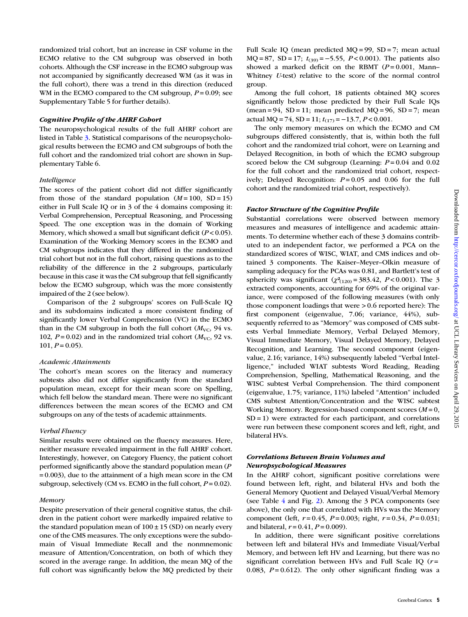Among the full cohort, 18 patients obtained MQ scores significantly below those predicted by their Full Scale IQs  $(mean = 94, SD = 11; mean predicted MQ = 96, SD = 7; mean$ actual MQ = 74, SD = 11;  $t_{(17)} = -13.7$ ,  $P < 0.001$ . The only memory measures on which the ECMO and CM subgroups differed consistently, that is, within both the full cohort and the randomized trial cohort, were on Learning and Delayed Recognition, in both of which the ECMO subgroup scored below the CM subgroup (Learning:  $P = 0.04$  and 0.02 for the full cohort and the randomized trial cohort, respectively; Delayed Recognition:  $P = 0.05$  and 0.06 for the full cohort and the randomized trial cohort, respectively).

Factor Structure of the Cognitive Profile

group.

Substantial correlations were observed between memory measures and measures of intelligence and academic attainments. To determine whether each of these 3 domains contributed to an independent factor, we performed a PCA on the standardized scores of WISC, WIAT, and CMS indices and obtained 3 components. The Kaiser–Meyer–Olkin measure of sampling adequacy for the PCAs was 0.81, and Bartlett's test of sphericity was significant  $(\chi^2_{(120)} = 383.42, P < 0.001)$ . The 3 extracted components, accounting for 69% of the original variance, were composed of the following measures (with only those component loadings that were > 0.6 reported here): The first component (eigenvalue, 7.06; variance, 44%), subsequently referred to as "Memory" was composed of CMS subtests Verbal Immediate Memory, Verbal Delayed Memory, Visual Immediate Memory, Visual Delayed Memory, Delayed Recognition, and Learning. The second component (eigenvalue, 2.16; variance, 14%) subsequently labeled "Verbal Intelligence," included WIAT subtests Word Reading, Reading Comprehension, Spelling, Mathematical Reasoning, and the WISC subtest Verbal Comprehension. The third component (eigenvalue, 1.75; variance, 11%) labeled "Attention" included CMS subtest Attention/Concentration and the WISC subtest Working Memory. Regression-based component scores  $(M = 0,$ SD = 1) were extracted for each participant, and correlations were run between these component scores and left, right, and bilateral HVs.

Full Scale IQ (mean predicted MQ = 99, SD = 7; mean actual MQ = 87, SD = 17;  $t_{(39)} = -5.55$ ,  $P < 0.001$ ). The patients also showed a marked deficit on the RBMT  $(P=0.001,$  Mann-Whitney U-test) relative to the score of the normal control

## Correlations Between Brain Volumes and Neuropsychological Measures

In the AHRF cohort, significant positive correlations were found between left, right, and bilateral HVs and both the General Memory Quotient and Delayed Visual/Verbal Memory (see Table [4](#page-5-0) and Fig. [2\)](#page-5-0). Among the 3 PCA components (see above), the only one that correlated with HVs was the Memory component (left,  $r = 0.45$ ,  $P = 0.003$ ; right,  $r = 0.34$ ,  $P = 0.031$ ; and bilateral,  $r = 0.41$ ,  $P = 0.009$ ).

In addition, there were significant positive correlations between left and bilateral HVs and Immediate Visual/Verbal Memory, and between left HV and Learning, but there was no significant correlation between HVs and Full Scale IQ  $(r =$ 0.083,  $P = 0.612$ ). The only other significant finding was a

randomized trial cohort, but an increase in CSF volume in the ECMO relative to the CM subgroup was observed in both cohorts. Although the CSF increase in the ECMO subgroup was not accompanied by significantly decreased WM (as it was in the full cohort), there was a trend in this direction (reduced WM in the ECMO compared to the CM subgroup,  $P = 0.09$ ; see [Supplementary Table 5](http://cercor.oxfordjournals.org/lookup/suppl/doi:10.1093/cercor/bht332/-/DC1) for further details).

## Cognitive Profile of the AHRF Cohort

The neuropsychological results of the full AHRF cohort are listed in Table [3](#page-3-0). Statistical comparisons of the neuropsychological results between the ECMO and CM subgroups of both the full cohort and the randomized trial cohort are shown in [Sup](http://cercor.oxfordjournals.org/lookup/suppl/doi:10.1093/cercor/bht332/-/DC1)[plementary Table 6](http://cercor.oxfordjournals.org/lookup/suppl/doi:10.1093/cercor/bht332/-/DC1).

# Intelligence

The scores of the patient cohort did not differ significantly from those of the standard population  $(M = 100, SD = 15)$ either in Full Scale IQ or in 3 of the 4 domains composing it: Verbal Comprehension, Perceptual Reasoning, and Processing Speed. The one exception was in the domain of Working Memory, which showed a small but significant deficit  $(P<0.05)$ . Examination of the Working Memory scores in the ECMO and CM subgroups indicates that they differed in the randomized trial cohort but not in the full cohort, raising questions as to the reliability of the difference in the 2 subgroups, particularly because in this case it was the CM subgroup that fell significantly below the ECMO subgroup, which was the more consistently impaired of the 2 (see below).

Comparison of the 2 subgroups' scores on Full-Scale IQ and its subdomains indicated a more consistent finding of significantly lower Verbal Comprehension (VC) in the ECMO than in the CM subgroup in both the full cohort  $(M_{\text{VC}})$ , 94 vs. 102,  $P = 0.02$ ) and in the randomized trial cohort ( $M_{\text{VC}}$ , 92 vs.  $101, P = 0.05$ ).

# Academic Attainments

The cohort's mean scores on the literacy and numeracy subtests also did not differ significantly from the standard population mean, except for their mean score on Spelling, which fell below the standard mean. There were no significant differences between the mean scores of the ECMO and CM subgroups on any of the tests of academic attainments.

# Verbal Fluency

Similar results were obtained on the fluency measures. Here, neither measure revealed impairment in the full AHRF cohort. Interestingly, however, on Category Fluency, the patient cohort performed significantly above the standard population mean (P  $= 0.003$ ), due to the attainment of a high mean score in the CM subgroup, selectively (CM vs. ECMO in the full cohort,  $P = 0.02$ ).

## Memory

Despite preservation of their general cognitive status, the children in the patient cohort were markedly impaired relative to the standard population mean of  $100 \pm 15$  (SD) on nearly every one of the CMS measures. The only exceptions were the subdomain of Visual Immediate Recall and the nonmnemonic measure of Attention/Concentration, on both of which they scored in the average range. In addition, the mean MQ of the full cohort was significantly below the MQ predicted by their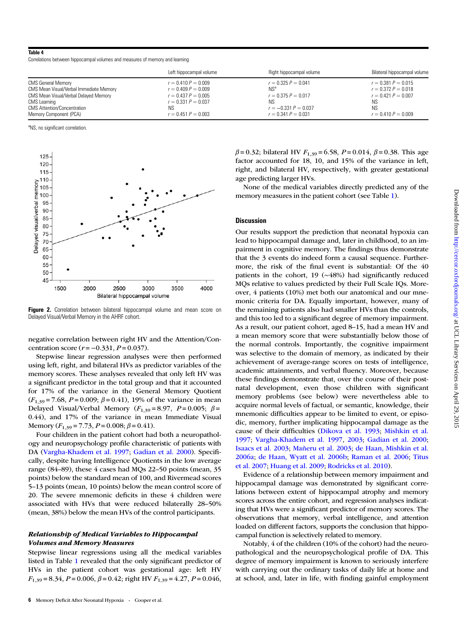## <span id="page-5-0"></span>Table 4

Correlations between hippocampal volumes and measures of memory and learning

|                                                                                  | Left hippocampal volume                        | Right hippocampal volume                        | Bilateral hippocampal volume                   |
|----------------------------------------------------------------------------------|------------------------------------------------|-------------------------------------------------|------------------------------------------------|
| <b>CMS General Memory</b>                                                        | $r = 0.410 P = 0.009$                          | $r = 0.325 P = 0.041$                           | $r = 0.381 P = 0.015$                          |
| CMS Mean Visual/Verbal Immediate Memory<br>CMS Mean Visual/Verbal Delayed Memory | $r = 0.409 P = 0.009$<br>$r = 0.437 P = 0.005$ | NS <sup>a</sup><br>$r = 0.375 P = 0.017$        | $r = 0.372 P = 0.018$<br>$r = 0.421 P = 0.007$ |
| CMS Learning                                                                     | $r = 0.331 P = 0.037$                          | ΝS                                              | ΝS                                             |
| <b>CMS Attention/Concentration</b><br>Memory Component (PCA)                     | NS.<br>$r = 0.451 P = 0.003$                   | $r = -0.331 P = 0.037$<br>$r = 0.341 P = 0.031$ | <b>NS</b><br>$r = 0.410 P = 0.009$             |

aNS, no significant correlation.



Figure 2. Correlation between bilateral hippocampal volume and mean score on Delayed Visual/Verbal Memory in the AHRF cohort.

negative correlation between right HV and the Attention/Concentration score ( $r = -0.331$ ,  $P = 0.037$ ).

Stepwise linear regression analyses were then performed using left, right, and bilateral HVs as predictor variables of the memory scores. These analyses revealed that only left HV was a significant predictor in the total group and that it accounted for 17% of the variance in the General Memory Quotient  $(F_{1,39} = 7.68, P = 0.009; \beta = 0.41)$ , 19% of the variance in mean Delayed Visual/Verbal Memory ( $F_{1,39} = 8.97$ ,  $P = 0.005$ ;  $\beta =$ 0.44), and 17% of the variance in mean Immediate Visual Memory  $(F_{1,39} = 7.73, P = 0.008; \beta = 0.41)$ .

Four children in the patient cohort had both a neuropathology and neuropsychology profile characteristic of patients with DA ([Vargha-Khadem et al. 1997;](#page-7-0) [Gadian et al. 2000\)](#page-7-0). Specifically, despite having Intelligence Quotients in the low average range (84–89), these 4 cases had MQs 22–50 points (mean, 35 points) below the standard mean of 100, and Rivermead scores 5–13 points (mean, 10 points) below the mean control score of 20. The severe mnemonic deficits in these 4 children were associated with HVs that were reduced bilaterally 28–50% (mean, 38%) below the mean HVs of the control participants.

## Relationship of Medical Variables to Hippocampal Volumes and Memory Measures

Stepwise linear regressions using all the medical variables listed in Table [1](#page-1-0) revealed that the only significant predictor of HVs in the patient cohort was gestational age: left HV  $F_{1,39} = 8.34$ ,  $P = 0.006$ ,  $\beta = 0.42$ ; right HV  $F_{1,39} = 4.27$ ,  $P = 0.046$ ,  $β = 0.32$ ; bilateral HV  $F_{1,39} = 6.58$ ,  $P = 0.014$ ,  $β = 0.38$ . This age factor accounted for 18, 10, and 15% of the variance in left, right, and bilateral HV, respectively, with greater gestational age predicting larger HVs.

None of the medical variables directly predicted any of the memory measures in the patient cohort (see Table [1\)](#page-1-0).

#### **Discussion**

Our results support the prediction that neonatal hypoxia can lead to hippocampal damage and, later in childhood, to an impairment in cognitive memory. The findings thus demonstrate that the 3 events do indeed form a causal sequence. Furthermore, the risk of the final event is substantial: Of the 40 patients in the cohort, 19 (∼48%) had significantly reduced MQs relative to values predicted by their Full Scale IQs. Moreover, 4 patients (10%) met both our anatomical and our mnemonic criteria for DA. Equally important, however, many of the remaining patients also had smaller HVs than the controls, and this too led to a significant degree of memory impairment. As a result, our patient cohort, aged 8–15, had a mean HV and a mean memory score that were substantially below those of the normal controls. Importantly, the cognitive impairment was selective to the domain of memory, as indicated by their achievement of average-range scores on tests of intelligence, academic attainments, and verbal fluency. Moreover, because these findings demonstrate that, over the course of their postnatal development, even those children with significant memory problems (see below) were nevertheless able to acquire normal levels of factual, or semantic, knowledge, their mnemonic difficulties appear to be limited to event, or episodic, memory, further implicating hippocampal damage as the cause of their difficulties ([Dikova et al. 1993;](#page-6-0) [Mishkin et al.](#page-7-0) [1997;](#page-7-0) [Vargha-Khadem et al. 1997,](#page-7-0) [2003](#page-7-0); [Gadian et al. 2000](#page-7-0); [Isaacs et al. 2003](#page-7-0); [Mañeru et al. 2003;](#page-7-0) [de Haan, Mishkin et al.](#page-6-0) [2006a](#page-6-0); [de Haan, Wyatt et al. 2006b](#page-6-0); [Raman et al. 2006;](#page-7-0) [Titus](#page-7-0) [et al. 2007;](#page-7-0) [Huang et al. 2009](#page-7-0); [Rodricks et al. 2010](#page-7-0)).

Evidence of a relationship between memory impairment and hippocampal damage was demonstrated by significant correlations between extent of hippocampal atrophy and memory scores across the entire cohort, and regression analyses indicating that HVs were a significant predictor of memory scores. The observations that memory, verbal intelligence, and attention loaded on different factors, supports the conclusion that hippocampal function is selectively related to memory.

Notably, 4 of the children (10% of the cohort) had the neuropathological and the neuropsychological profile of DA. This degree of memory impairment is known to seriously interfere with carrying out the ordinary tasks of daily life at home and at school, and, later in life, with finding gainful employment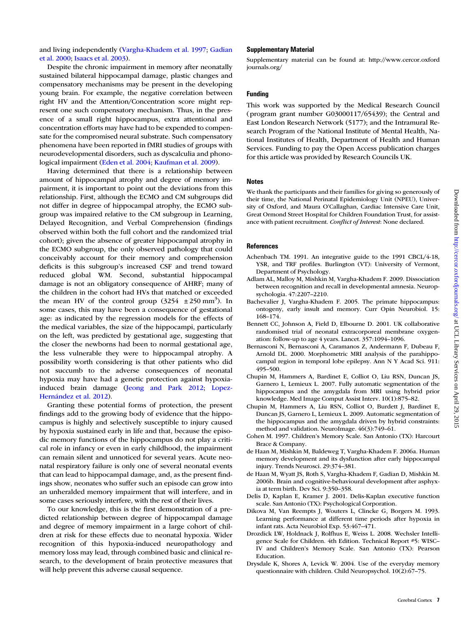<span id="page-6-0"></span>and living independently ([Vargha-Khadem et al. 1997;](#page-7-0) [Gadian](#page-7-0) [et al. 2000;](#page-7-0) [Isaacs et al. 2003](#page-7-0)).

#### Supplementary Material

[Supplementary material can be found at: http://www.cercor.oxford](http://cercor.oxfordjournals.org/lookup/suppl/doi:10.1093/cercor/bht332/-/DC1) [journals.org/](http://cercor.oxfordjournals.org/lookup/suppl/doi:10.1093/cercor/bht332/-/DC1)

# Funding

This work was supported by the Medical Research Council (program grant number G03000117/65439); the Central and East London Research Network (5177); and the Intramural Research Program of the National Institute of Mental Health, National Institutes of Health, Department of Health and Human Services. Funding to pay the Open Access publication charges for this article was provided by Research Councils UK.

## **Notes**

We thank the participants and their families for giving so generously of their time, the National Perinatal Epidemiology Unit (NPEU), University of Oxford, and Maura O'Callaghan, Cardiac Intensive Care Unit, Great Ormond Street Hospital for Children Foundation Trust, for assistance with patient recruitment. Conflict of Interest: None declared.

## References

- Achenbach TM. 1991. An integrative guide to the 1991 CBCL/4-18, YSR, and TRF profiles. Burlington (VT): University of Vermont, Department of Psychology.
- Adlam AL, Malloy M, Mishkin M, Vargha-Khadem F. 2009. Dissociation between recognition and recall in developmental amnesia. Neuropsychologia. 47:2207–2210.
- Bachevalier J, Vargha-Khadem F. 2005. The primate hippocampus: ontogeny, early insult and memory. Curr Opin Neurobiol. 15: 168–174.
- Bennett CC, Johnson A, Field D, Elbourne D. 2001. UK collaborative randomised trial of neonatal extracorporeal membrane oxygenation: follow-up to age 4 years. Lancet. 357:1094–1096.
- Bernasconi N, Bernasconi A, Caramanos Z, Andermann F, Dubeau F, Arnold DL. 2000. Morphometric MRI analysis of the parahippocampal region in temporal lobe epilepsy. Ann N Y Acad Sci. 911: 495–500.
- Chupin M, Hammers A, Bardinet E, Colliot O, Liu RSN, Duncan JS, Garnero L, Lemieux L. 2007. Fully automatic segmentation of the hippocampus and the amygdala from MRI using hybrid prior knowledge. Med Image Comput Assist Interv. 10(1):875–82.
- Chupin M, Hammers A, Liu RSN, Colliot O, Burdett J, Bardinet E, Duncan JS, Garnero L, Lemieux L. 2009. Automatic segmentation of the hippocampus and the amygdala driven by hybrid constraints: method and validation. NeuroImage. 46(3):749–61.
- Cohen M. 1997. Children's Memory Scale. San Antonio (TX): Harcourt Brace & Company.
- de Haan M, Mishkin M, Baldeweg T, Vargha-Khadem F. 2006a. Human memory development and its dysfunction after early hippocampal injury. Trends Neurosci. 29:374–381.
- de Haan M, Wyatt JS, Roth S, Vargha-Khadem F, Gadian D, Mishkin M. 2006b. Brain and cognitive-behavioural development after asphyxia at term birth. Dev Sci. 9:350–358.
- Delis D, Kaplan E, Kramer J. 2001. Delis-Kaplan executive function scale. San Antonio (TX): Psychological Corporation.
- Dikova M, Van Reempts J, Wouters L, Clincke G, Borgers M. 1993. Learning performance at different time periods after hypoxia in infant rats. Acta Neurobiol Exp. 53:467–471.
- Drozdick LW, Holdnack J, Rolfhus E, Weiss L. 2008. Wechsler Intelligence Scale for Children. 4th Edition. Technical Report #5: WISC– IV and Children's Memory Scale. San Antonio (TX): Pearson Education.
- Drysdale K, Shores A, Levick W. 2004. Use of the everyday memory questionnaire with children. Child Neuropsychol. 10(2):67–75.

Despite the chronic impairment in memory after neonatally sustained bilateral hippocampal damage, plastic changes and compensatory mechanisms may be present in the developing young brain. For example, the negative correlation between right HV and the Attention/Concentration score might represent one such compensatory mechanism. Thus, in the presence of a small right hippocampus, extra attentional and concentration efforts may have had to be expended to compensate for the compromised neural substrate. Such compensatory phenomena have been reported in fMRI studies of groups with neurodevelopmental disorders, such as dyscalculia and phonological impairment [\(Eden et al. 2004](#page-7-0); [Kaufman et al. 2009](#page-7-0)).

Having determined that there is a relationship between amount of hippocampal atrophy and degree of memory impairment, it is important to point out the deviations from this relationship. First, although the ECMO and CM subgroups did not differ in degree of hippocampal atrophy, the ECMO subgroup was impaired relative to the CM subgroup in Learning, Delayed Recognition, and Verbal Comprehension (findings observed within both the full cohort and the randomized trial cohort); given the absence of greater hippocampal atrophy in the ECMO subgroup, the only observed pathology that could conceivably account for their memory and comprehension deficits is this subgroup's increased CSF and trend toward reduced global WM. Second, substantial hippocampal damage is not an obligatory consequence of AHRF; many of the children in the cohort had HVs that matched or exceeded the mean HV of the control group  $(3254 \pm 250 \text{ mm}^3)$ . In some cases, this may have been a consequence of gestational age: as indicated by the regression models for the effects of the medical variables, the size of the hippocampi, particularly on the left, was predicted by gestational age, suggesting that the closer the newborns had been to normal gestational age, the less vulnerable they were to hippocampal atrophy. A possibility worth considering is that other patients who did not succumb to the adverse consequences of neonatal hypoxia may have had a genetic protection against hypoxiainduced brain damage [\(Jeong and Park 2012](#page-7-0); [Lopez-](#page-7-0)[Hernández et al. 2012\)](#page-7-0).

Granting these potential forms of protection, the present findings add to the growing body of evidence that the hippocampus is highly and selectively susceptible to injury caused by hypoxia sustained early in life and that, because the episodic memory functions of the hippocampus do not play a critical role in infancy or even in early childhood, the impairment can remain silent and unnoticed for several years. Acute neonatal respiratory failure is only one of several neonatal events that can lead to hippocampal damage, and, as the present findings show, neonates who suffer such an episode can grow into an unheralded memory impairment that will interfere, and in some cases seriously interfere, with the rest of their lives.

To our knowledge, this is the first demonstration of a predicted relationship between degree of hippocampal damage and degree of memory impairment in a large cohort of children at risk for these effects due to neonatal hypoxia. Wider recognition of this hypoxia-induced neuropathology and memory loss may lead, through combined basic and clinical research, to the development of brain protective measures that will help prevent this adverse causal sequence.